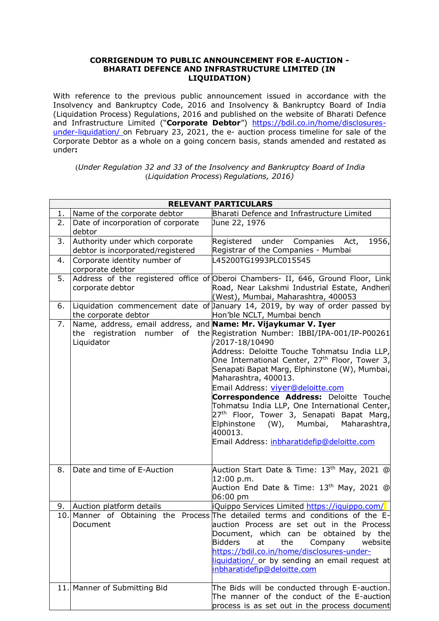## **CORRIGENDUM TO PUBLIC ANNOUNCEMENT FOR E-AUCTION - BHARATI DEFENCE AND INFRASTRUCTURE LIMITED (IN LIQUIDATION)**

With reference to the previous public announcement issued in accordance with the Insolvency and Bankruptcy Code, 2016 and Insolvency & Bankruptcy Board of India (Liquidation Process) Regulations, 2016 and published on the website of Bharati Defence and Infrastructure Limited ("**Corporate Debtor**") [https://bdil.co.in/home/disclosures](https://bdil.co.in/home/disclosures-under-liquidation/)[under-liquidation/](https://bdil.co.in/home/disclosures-under-liquidation/) on February 23, 2021, the e- auction process timeline for sale of the Corporate Debtor as a whole on a going concern basis, stands amended and restated as under**:**

(*Under Regulation 32 and 33 of the Insolvency and Bankruptcy Board of India* (*Liquidation Process*) *Regulations, 2016)*

| <b>RELEVANT PARTICULARS</b> |                                                                              |                                                                                                                                                                                                                                                                                                                                                                                                                                                                                                                                                                                              |
|-----------------------------|------------------------------------------------------------------------------|----------------------------------------------------------------------------------------------------------------------------------------------------------------------------------------------------------------------------------------------------------------------------------------------------------------------------------------------------------------------------------------------------------------------------------------------------------------------------------------------------------------------------------------------------------------------------------------------|
| 1.                          | Name of the corporate debtor                                                 | Bharati Defence and Infrastructure Limited                                                                                                                                                                                                                                                                                                                                                                                                                                                                                                                                                   |
| 2.                          | Date of incorporation of corporate<br>debtor                                 | June 22, 1976                                                                                                                                                                                                                                                                                                                                                                                                                                                                                                                                                                                |
| 3.                          | Authority under which corporate<br>debtor is incorporated/registered         | 1956,<br>Registered under Companies<br>Act,<br>Registrar of the Companies - Mumbai                                                                                                                                                                                                                                                                                                                                                                                                                                                                                                           |
| 4.                          | Corporate identity number of<br>corporate debtor                             | L45200TG1993PLC015545                                                                                                                                                                                                                                                                                                                                                                                                                                                                                                                                                                        |
| 5.                          | corporate debtor                                                             | Address of the registered office of Oberoi Chambers- II, 646, Ground Floor, Link<br>Road, Near Lakshmi Industrial Estate, Andheri<br>(West), Mumbai, Maharashtra, 400053                                                                                                                                                                                                                                                                                                                                                                                                                     |
| 6.                          | the corporate debtor                                                         | Liquidation commencement date of January 14, 2019, by way of order passed by<br>Hon'ble NCLT, Mumbai bench                                                                                                                                                                                                                                                                                                                                                                                                                                                                                   |
| 7.                          | Name, address, email address, and Name: Mr. Vijaykumar V. Iyer<br>Liquidator | the registration number of the Registration Number: IBBI/IPA-001/IP-P00261<br>/2017-18/10490<br>Address: Deloitte Touche Tohmatsu India LLP,<br>One International Center, 27 <sup>th</sup> Floor, Tower 3,<br>Senapati Bapat Marg, Elphinstone (W), Mumbai,<br>Maharashtra, 400013.<br>Email Address: viver@deloitte.com<br><b>Correspondence Address: Deloitte Touche</b><br>Tohmatsu India LLP, One International Center,<br>27 <sup>th</sup> Floor, Tower 3, Senapati Bapat Marg,<br>Maharashtra,<br>Elphinstone<br>(W), Mumbai,<br>400013.<br>Email Address: inbharatidefip@deloitte.com |
| 8.                          | Date and time of E-Auction                                                   | Auction Start Date & Time: 13 <sup>th</sup> May, 2021 @<br>12:00 p.m.<br>Auction End Date & Time: $13^{\text{th}}$ May, 2021 @<br>06:00 pm                                                                                                                                                                                                                                                                                                                                                                                                                                                   |
| 9.                          | Auction platform details                                                     | Quippo Services Limited https://iquippo.com/                                                                                                                                                                                                                                                                                                                                                                                                                                                                                                                                                 |
|                             | Document                                                                     | 10. Manner of Obtaining the Process The detailed terms and conditions of the $E$ -<br>auction Process are set out in the Process<br>Document, which can be obtained by the<br>Bidders<br>the<br>website<br>at<br>Company<br>https://bdil.co.in/home/disclosures-under-<br>liquidation/ or by sending an email request at<br>inbharatidefip@deloitte.com                                                                                                                                                                                                                                      |
|                             | 11. Manner of Submitting Bid                                                 | The Bids will be conducted through E-auction.<br>The manner of the conduct of the E-auction<br>process is as set out in the process document                                                                                                                                                                                                                                                                                                                                                                                                                                                 |